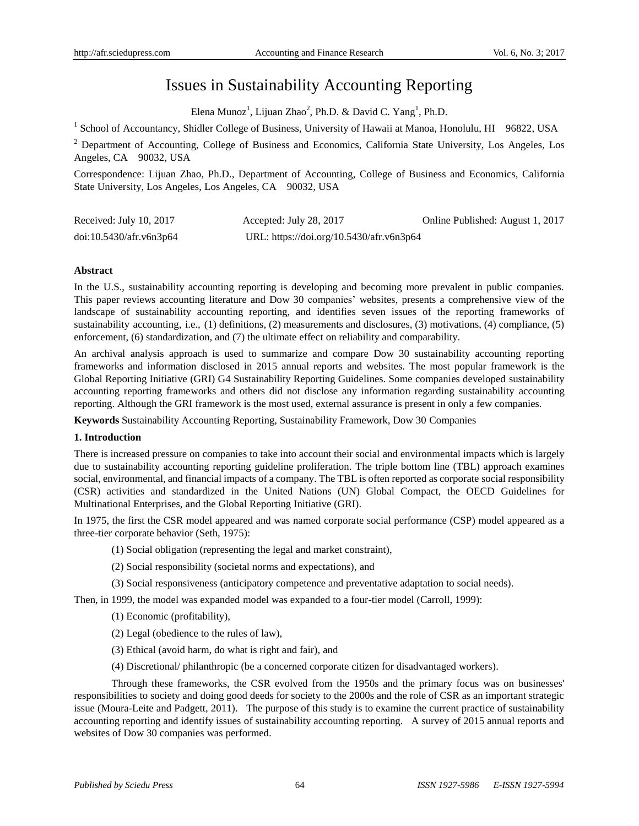# Issues in Sustainability Accounting Reporting

Elena Munoz<sup>1</sup>, Lijuan Zhao<sup>2</sup>, Ph.D. & David C. Yang<sup>1</sup>, Ph.D.

<sup>1</sup> School of Accountancy, Shidler College of Business, University of Hawaii at Manoa, Honolulu, HI 96822, USA

<sup>2</sup> Department of Accounting, College of Business and Economics, California State University, Los Angeles, Los Angeles, CA 90032, USA

Correspondence: Lijuan Zhao, Ph.D., Department of Accounting, College of Business and Economics, California State University, Los Angeles, Los Angeles, CA 90032, USA

| Received: July 10, 2017 | Accepted: July 28, 2017                  | Online Published: August 1, 2017 |
|-------------------------|------------------------------------------|----------------------------------|
| doi:10.5430/afr.v6n3p64 | URL: https://doi.org/10.5430/afr.v6n3p64 |                                  |

## **Abstract**

In the U.S., sustainability accounting reporting is developing and becoming more prevalent in public companies. This paper reviews accounting literature and Dow 30 companies' websites, presents a comprehensive view of the landscape of sustainability accounting reporting, and identifies seven issues of the reporting frameworks of sustainability accounting, i.e., (1) definitions, (2) measurements and disclosures, (3) motivations, (4) compliance, (5) enforcement, (6) standardization, and (7) the ultimate effect on reliability and comparability.

An archival analysis approach is used to summarize and compare Dow 30 sustainability accounting reporting frameworks and information disclosed in 2015 annual reports and websites. The most popular framework is the Global Reporting Initiative (GRI) G4 Sustainability Reporting Guidelines. Some companies developed sustainability accounting reporting frameworks and others did not disclose any information regarding sustainability accounting reporting. Although the GRI framework is the most used, external assurance is present in only a few companies.

**Keywords** Sustainability Accounting Reporting, Sustainability Framework, Dow 30 Companies

## **1. Introduction**

There is increased pressure on companies to take into account their social and environmental impacts which is largely due to sustainability accounting reporting guideline proliferation. The triple bottom line (TBL) approach examines social, environmental, and financial impacts of a company. The TBL is often reported as corporate social responsibility (CSR) activities and standardized in the United Nations (UN) Global Compact, the OECD Guidelines for Multinational Enterprises, and the Global Reporting Initiative (GRI).

In 1975, the first the CSR model appeared and was named corporate social performance (CSP) model appeared as a three-tier corporate behavior (Seth, 1975):

- (1) Social obligation (representing the legal and market constraint),
- (2) Social responsibility (societal norms and expectations), and
- (3) Social responsiveness (anticipatory competence and preventative adaptation to social needs).

Then, in 1999, the model was expanded model was expanded to a four-tier model (Carroll, 1999):

(1) Economic (profitability),

- (2) Legal (obedience to the rules of law),
- (3) Ethical (avoid harm, do what is right and fair), and
- (4) Discretional/ philanthropic (be a concerned corporate citizen for disadvantaged workers).

Through these frameworks, the CSR evolved from the 1950s and the primary focus was on businesses' responsibilities to society and doing good deeds for society to the 2000s and the role of CSR as an important strategic issue (Moura-Leite and Padgett, 2011). The purpose of this study is to examine the current practice of sustainability accounting reporting and identify issues of sustainability accounting reporting. A survey of 2015 annual reports and websites of Dow 30 companies was performed.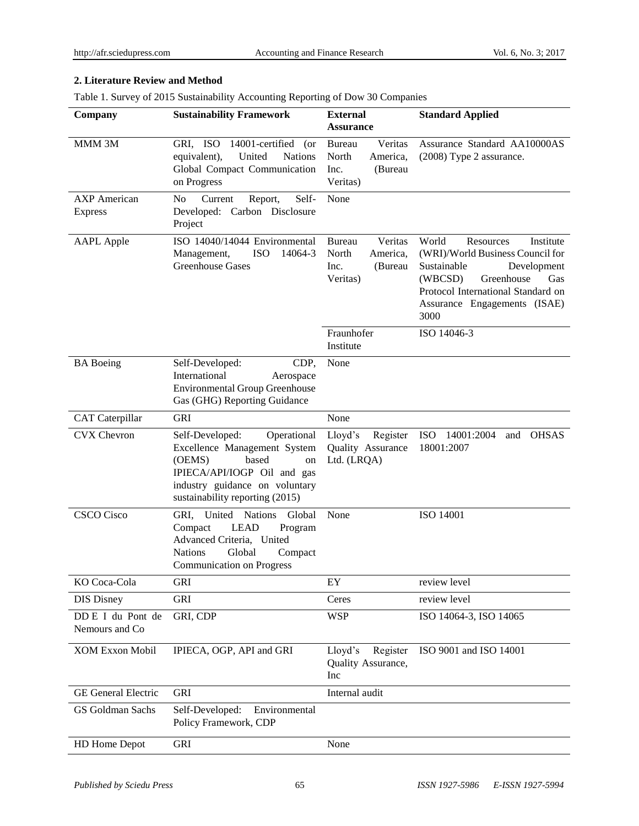# **2. Literature Review and Method**

Table 1. Survey of 2015 Sustainability Accounting Reporting of Dow 30 Companies

| Company                               | <b>Sustainability Framework</b>                                                                                                                                                             | <b>External</b><br><b>Assurance</b>                                          | <b>Standard Applied</b>                                                                                                                                                                                         |
|---------------------------------------|---------------------------------------------------------------------------------------------------------------------------------------------------------------------------------------------|------------------------------------------------------------------------------|-----------------------------------------------------------------------------------------------------------------------------------------------------------------------------------------------------------------|
| MMM 3M                                | GRI, ISO<br>14001-certified<br>(or<br>United<br><b>Nations</b><br>equivalent),<br>Global Compact Communication<br>on Progress                                                               | Veritas<br><b>Bureau</b><br>North<br>America,<br>Inc.<br>(Bureau<br>Veritas) | Assurance Standard AA10000AS<br>(2008) Type 2 assurance.                                                                                                                                                        |
| <b>AXP</b> American<br><b>Express</b> | Self-<br>N <sub>0</sub><br>Current<br>Report,<br>Developed:<br>Carbon Disclosure<br>Project                                                                                                 | None                                                                         |                                                                                                                                                                                                                 |
| <b>AAPL</b> Apple                     | ISO 14040/14044 Environmental<br><b>ISO</b><br>14064-3<br>Management,<br><b>Greenhouse Gases</b>                                                                                            | Veritas<br>Bureau<br>North<br>America,<br>(Bureau<br>Inc.<br>Veritas)        | World<br>Resources<br>Institute<br>(WRI)/World Business Council for<br>Sustainable<br>Development<br>(WBCSD)<br>Greenhouse<br>Gas<br>Protocol International Standard on<br>Assurance Engagements (ISAE)<br>3000 |
|                                       |                                                                                                                                                                                             | Fraunhofer<br>Institute                                                      | ISO 14046-3                                                                                                                                                                                                     |
| <b>BA</b> Boeing                      | Self-Developed:<br>CDP,<br>International<br>Aerospace<br><b>Environmental Group Greenhouse</b><br>Gas (GHG) Reporting Guidance                                                              | None                                                                         |                                                                                                                                                                                                                 |
| <b>CAT</b> Caterpillar                | <b>GRI</b>                                                                                                                                                                                  | None                                                                         |                                                                                                                                                                                                                 |
| <b>CVX</b> Chevron                    | Operational<br>Self-Developed:<br>Excellence Management System<br>(OEMS)<br>based<br>on<br>IPIECA/API/IOGP Oil and gas<br>industry guidance on voluntary<br>sustainability reporting (2015) | Lloyd's<br>Register<br>Quality Assurance<br>Ltd. (LRQA)                      | <b>ISO</b><br>14001:2004<br><b>OHSAS</b><br>and<br>18001:2007                                                                                                                                                   |
| <b>CSCO</b> Cisco                     | United<br>GRI,<br><b>Nations</b><br>Global<br><b>LEAD</b><br>Compact<br>Program<br>Advanced Criteria, United<br>Global<br><b>Nations</b><br>Compact<br><b>Communication on Progress</b>     | None                                                                         | ISO 14001                                                                                                                                                                                                       |
| KO Coca-Cola                          | <b>GRI</b>                                                                                                                                                                                  | EY                                                                           | review level                                                                                                                                                                                                    |
| <b>DIS Disney</b>                     | GRI                                                                                                                                                                                         | Ceres                                                                        | review level                                                                                                                                                                                                    |
| DD E I du Pont de<br>Nemours and Co   | GRI, CDP                                                                                                                                                                                    | <b>WSP</b>                                                                   | ISO 14064-3, ISO 14065                                                                                                                                                                                          |
| <b>XOM Exxon Mobil</b>                | IPIECA, OGP, API and GRI                                                                                                                                                                    | Lloyd's<br>Register<br>Quality Assurance,<br>Inc                             | ISO 9001 and ISO 14001                                                                                                                                                                                          |
| <b>GE</b> General Electric            | <b>GRI</b>                                                                                                                                                                                  | Internal audit                                                               |                                                                                                                                                                                                                 |
| GS Goldman Sachs                      | Self-Developed:<br>Environmental<br>Policy Framework, CDP                                                                                                                                   |                                                                              |                                                                                                                                                                                                                 |
| HD Home Depot                         | <b>GRI</b>                                                                                                                                                                                  | None                                                                         |                                                                                                                                                                                                                 |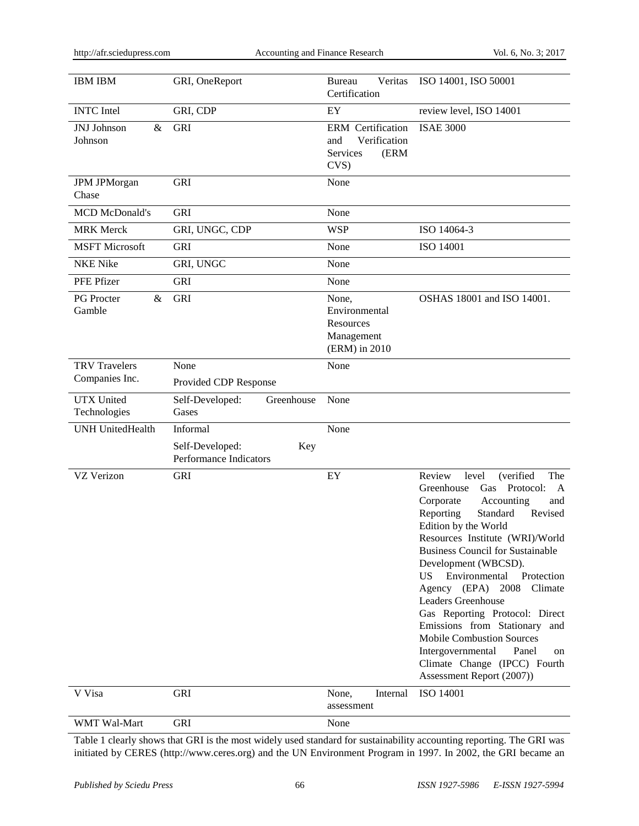| <b>IBM IBM</b>                      | GRI, OneReport                                               | Veritas<br><b>Bureau</b><br>Certification                                  | ISO 14001, ISO 50001                                                                                                                                                                                                                                                                                                                                                                                                                                                                                                                                                                     |
|-------------------------------------|--------------------------------------------------------------|----------------------------------------------------------------------------|------------------------------------------------------------------------------------------------------------------------------------------------------------------------------------------------------------------------------------------------------------------------------------------------------------------------------------------------------------------------------------------------------------------------------------------------------------------------------------------------------------------------------------------------------------------------------------------|
| <b>INTC</b> Intel                   | GRI, CDP                                                     | EY                                                                         | review level, ISO 14001                                                                                                                                                                                                                                                                                                                                                                                                                                                                                                                                                                  |
| <b>JNJ</b> Johnson<br>&<br>Johnson  | <b>GRI</b>                                                   | <b>ERM</b> Certification<br>Verification<br>and<br>Services<br>(ERM<br>CVS | <b>ISAE 3000</b>                                                                                                                                                                                                                                                                                                                                                                                                                                                                                                                                                                         |
| <b>JPM JPMorgan</b><br>Chase        | <b>GRI</b>                                                   | None                                                                       |                                                                                                                                                                                                                                                                                                                                                                                                                                                                                                                                                                                          |
| <b>MCD McDonald's</b>               | <b>GRI</b>                                                   | None                                                                       |                                                                                                                                                                                                                                                                                                                                                                                                                                                                                                                                                                                          |
| <b>MRK</b> Merck                    | GRI, UNGC, CDP                                               | <b>WSP</b>                                                                 | ISO 14064-3                                                                                                                                                                                                                                                                                                                                                                                                                                                                                                                                                                              |
| <b>MSFT Microsoft</b>               | <b>GRI</b>                                                   | None                                                                       | ISO 14001                                                                                                                                                                                                                                                                                                                                                                                                                                                                                                                                                                                |
| <b>NKE Nike</b>                     | GRI, UNGC                                                    | None                                                                       |                                                                                                                                                                                                                                                                                                                                                                                                                                                                                                                                                                                          |
| PFE Pfizer                          | <b>GRI</b>                                                   | None                                                                       |                                                                                                                                                                                                                                                                                                                                                                                                                                                                                                                                                                                          |
| <b>PG</b> Procter<br>$\&$<br>Gamble | <b>GRI</b>                                                   | None,<br>Environmental<br>Resources<br>Management<br>(ERM) in 2010         | OSHAS 18001 and ISO 14001.                                                                                                                                                                                                                                                                                                                                                                                                                                                                                                                                                               |
| <b>TRV</b> Travelers                | None                                                         | None                                                                       |                                                                                                                                                                                                                                                                                                                                                                                                                                                                                                                                                                                          |
| Companies Inc.                      | Provided CDP Response                                        |                                                                            |                                                                                                                                                                                                                                                                                                                                                                                                                                                                                                                                                                                          |
| <b>UTX</b> United<br>Technologies   | Greenhouse<br>Self-Developed:<br>Gases                       | None                                                                       |                                                                                                                                                                                                                                                                                                                                                                                                                                                                                                                                                                                          |
| <b>UNH UnitedHealth</b>             | Informal<br>Self-Developed:<br>Key<br>Performance Indicators | None                                                                       |                                                                                                                                                                                                                                                                                                                                                                                                                                                                                                                                                                                          |
| VZ Verizon                          | <b>GRI</b>                                                   | ${\rm EY}$                                                                 | The<br>Review<br>level<br>(verified<br>Protocol:<br>Greenhouse<br>Gas<br>A<br>Corporate<br>Accounting<br>and<br>Reporting<br>Standard<br>Revised<br>Edition by the World<br>Resources Institute (WRI)/World<br><b>Business Council for Sustainable</b><br>Development (WBCSD).<br>Environmental<br>Protection<br>US<br>Agency (EPA) 2008<br>Climate<br><b>Leaders Greenhouse</b><br>Gas Reporting Protocol: Direct<br>Emissions from Stationary and<br><b>Mobile Combustion Sources</b><br>Intergovernmental<br>Panel<br>on<br>Climate Change (IPCC) Fourth<br>Assessment Report (2007)) |
| V Visa                              | GRI                                                          | None,<br>Internal<br>assessment                                            | ISO 14001                                                                                                                                                                                                                                                                                                                                                                                                                                                                                                                                                                                |
| WMT Wal-Mart                        | GRI                                                          | None                                                                       |                                                                                                                                                                                                                                                                                                                                                                                                                                                                                                                                                                                          |

Table 1 clearly shows that GRI is the most widely used standard for sustainability accounting reporting. The GRI was initiated by CERES (http://www.ceres.org) and the UN Environment Program in 1997. In 2002, the GRI became an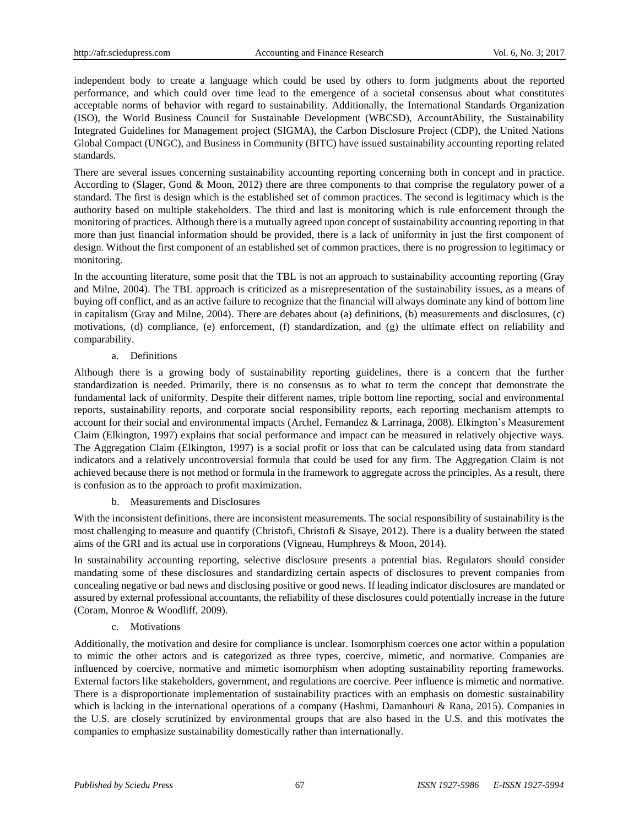independent body to create a language which could be used by others to form judgments about the reported performance, and which could over time lead to the emergence of a societal consensus about what constitutes acceptable norms of behavior with regard to sustainability. Additionally, the International Standards Organization (ISO), the World Business Council for Sustainable Development (WBCSD), AccountAbility, the Sustainability Integrated Guidelines for Management project (SIGMA), the Carbon Disclosure Project (CDP), the United Nations Global Compact (UNGC), and Business in Community (BITC) have issued sustainability accounting reporting related standards.

There are several issues concerning sustainability accounting reporting concerning both in concept and in practice. According to (Slager, Gond & Moon, 2012) there are three components to that comprise the regulatory power of a standard. The first is design which is the established set of common practices. The second is legitimacy which is the authority based on multiple stakeholders. The third and last is monitoring which is rule enforcement through the monitoring of practices. Although there is a mutually agreed upon concept of sustainability accounting reporting in that more than just financial information should be provided, there is a lack of uniformity in just the first component of design. Without the first component of an established set of common practices, there is no progression to legitimacy or monitoring.

In the accounting literature, some posit that the TBL is not an approach to sustainability accounting reporting (Gray and Milne, 2004). The TBL approach is criticized as a misrepresentation of the sustainability issues, as a means of buying off conflict, and as an active failure to recognize that the financial will always dominate any kind of bottom line in capitalism (Gray and Milne, 2004). There are debates about (a) definitions, (b) measurements and disclosures, (c) motivations, (d) compliance, (e) enforcement, (f) standardization, and (g) the ultimate effect on reliability and comparability.

#### a. Definitions

Although there is a growing body of sustainability reporting guidelines, there is a concern that the further standardization is needed. Primarily, there is no consensus as to what to term the concept that demonstrate the fundamental lack of uniformity. Despite their different names, triple bottom line reporting, social and environmental reports, sustainability reports, and corporate social responsibility reports, each reporting mechanism attempts to account for their social and environmental impacts (Archel, Fernandez & Larrinaga, 2008). Elkington's Measurement Claim (Elkington, 1997) explains that social performance and impact can be measured in relatively objective ways. The Aggregation Claim (Elkington, 1997) is a social profit or loss that can be calculated using data from standard indicators and a relatively uncontroversial formula that could be used for any firm. The Aggregation Claim is not achieved because there is not method or formula in the framework to aggregate across the principles. As a result, there is confusion as to the approach to profit maximization.

# b. Measurements and Disclosures

With the inconsistent definitions, there are inconsistent measurements. The social responsibility of sustainability is the most challenging to measure and quantify (Christofi, Christofi & Sisaye, 2012). There is a duality between the stated aims of the GRI and its actual use in corporations (Vigneau, Humphreys & Moon, 2014).

In sustainability accounting reporting, selective disclosure presents a potential bias. Regulators should consider mandating some of these disclosures and standardizing certain aspects of disclosures to prevent companies from concealing negative or bad news and disclosing positive or good news. If leading indicator disclosures are mandated or assured by external professional accountants, the reliability of these disclosures could potentially increase in the future (Coram, Monroe & Woodliff, 2009).

## c. Motivations

Additionally, the motivation and desire for compliance is unclear. Isomorphism coerces one actor within a population to mimic the other actors and is categorized as three types, coercive, mimetic, and normative. Companies are influenced by coercive, normative and mimetic isomorphism when adopting sustainability reporting frameworks. External factors like stakeholders, government, and regulations are coercive. Peer influence is mimetic and normative. There is a disproportionate implementation of sustainability practices with an emphasis on domestic sustainability which is lacking in the international operations of a company (Hashmi, Damanhouri & Rana, 2015). Companies in the U.S. are closely scrutinized by environmental groups that are also based in the U.S. and this motivates the companies to emphasize sustainability domestically rather than internationally.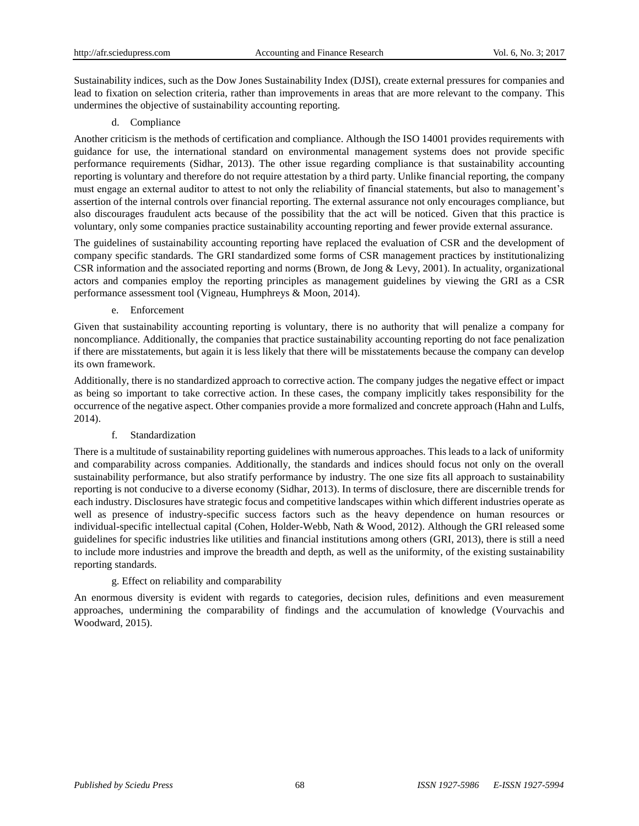Sustainability indices, such as the Dow Jones Sustainability Index (DJSI), create external pressures for companies and lead to fixation on selection criteria, rather than improvements in areas that are more relevant to the company. This undermines the objective of sustainability accounting reporting.

d. Compliance

Another criticism is the methods of certification and compliance. Although the ISO 14001 provides requirements with guidance for use, the international standard on environmental management systems does not provide specific performance requirements (Sidhar, 2013). The other issue regarding compliance is that sustainability accounting reporting is voluntary and therefore do not require attestation by a third party. Unlike financial reporting, the company must engage an external auditor to attest to not only the reliability of financial statements, but also to management's assertion of the internal controls over financial reporting. The external assurance not only encourages compliance, but also discourages fraudulent acts because of the possibility that the act will be noticed. Given that this practice is voluntary, only some companies practice sustainability accounting reporting and fewer provide external assurance.

The guidelines of sustainability accounting reporting have replaced the evaluation of CSR and the development of company specific standards. The GRI standardized some forms of CSR management practices by institutionalizing CSR information and the associated reporting and norms (Brown, de Jong & Levy, 2001). In actuality, organizational actors and companies employ the reporting principles as management guidelines by viewing the GRI as a CSR performance assessment tool (Vigneau, Humphreys & Moon, 2014).

e. Enforcement

Given that sustainability accounting reporting is voluntary, there is no authority that will penalize a company for noncompliance. Additionally, the companies that practice sustainability accounting reporting do not face penalization if there are misstatements, but again it is less likely that there will be misstatements because the company can develop its own framework.

Additionally, there is no standardized approach to corrective action. The company judges the negative effect or impact as being so important to take corrective action. In these cases, the company implicitly takes responsibility for the occurrence of the negative aspect. Other companies provide a more formalized and concrete approach (Hahn and Lulfs, 2014).

f. Standardization

There is a multitude of sustainability reporting guidelines with numerous approaches. This leads to a lack of uniformity and comparability across companies. Additionally, the standards and indices should focus not only on the overall sustainability performance, but also stratify performance by industry. The one size fits all approach to sustainability reporting is not conducive to a diverse economy (Sidhar, 2013). In terms of disclosure, there are discernible trends for each industry. Disclosures have strategic focus and competitive landscapes within which different industries operate as well as presence of industry-specific success factors such as the heavy dependence on human resources or individual-specific intellectual capital (Cohen, Holder-Webb, Nath & Wood, 2012). Although the GRI released some guidelines for specific industries like utilities and financial institutions among others (GRI, 2013), there is still a need to include more industries and improve the breadth and depth, as well as the uniformity, of the existing sustainability reporting standards.

## g. Effect on reliability and comparability

An enormous diversity is evident with regards to categories, decision rules, definitions and even measurement approaches, undermining the comparability of findings and the accumulation of knowledge (Vourvachis and Woodward, 2015).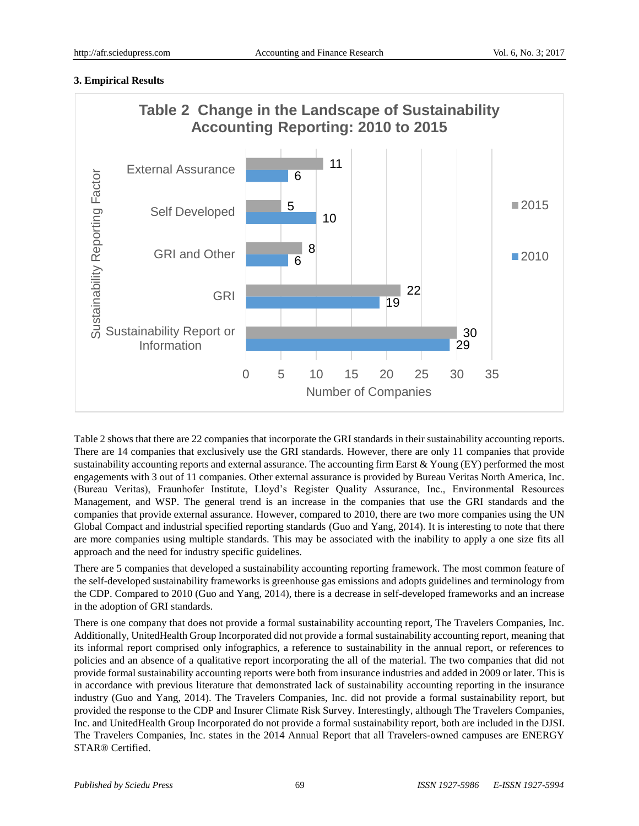# **3. Empirical Results**



Table 2 shows that there are 22 companies that incorporate the GRI standards in their sustainability accounting reports. There are 14 companies that exclusively use the GRI standards. However, there are only 11 companies that provide sustainability accounting reports and external assurance. The accounting firm Earst  $&$  Young (EY) performed the most engagements with 3 out of 11 companies. Other external assurance is provided by Bureau Veritas North America, Inc. (Bureau Veritas), Fraunhofer Institute, Lloyd's Register Quality Assurance, Inc., Environmental Resources Management, and WSP. The general trend is an increase in the companies that use the GRI standards and the companies that provide external assurance. However, compared to 2010, there are two more companies using the UN Global Compact and industrial specified reporting standards (Guo and Yang, 2014). It is interesting to note that there are more companies using multiple standards. This may be associated with the inability to apply a one size fits all approach and the need for industry specific guidelines.

There are 5 companies that developed a sustainability accounting reporting framework. The most common feature of the self-developed sustainability frameworks is greenhouse gas emissions and adopts guidelines and terminology from the CDP. Compared to 2010 (Guo and Yang, 2014), there is a decrease in self-developed frameworks and an increase in the adoption of GRI standards.

There is one company that does not provide a formal sustainability accounting report, The Travelers Companies, Inc. Additionally, UnitedHealth Group Incorporated did not provide a formal sustainability accounting report, meaning that its informal report comprised only infographics, a reference to sustainability in the annual report, or references to policies and an absence of a qualitative report incorporating the all of the material. The two companies that did not provide formal sustainability accounting reports were both from insurance industries and added in 2009 or later. This is in accordance with previous literature that demonstrated lack of sustainability accounting reporting in the insurance industry (Guo and Yang, 2014). The Travelers Companies, Inc. did not provide a formal sustainability report, but provided the response to the CDP and Insurer Climate Risk Survey. Interestingly, although The Travelers Companies, Inc. and UnitedHealth Group Incorporated do not provide a formal sustainability report, both are included in the DJSI. The Travelers Companies, Inc. states in the 2014 Annual Report that all Travelers-owned campuses are ENERGY STAR® Certified.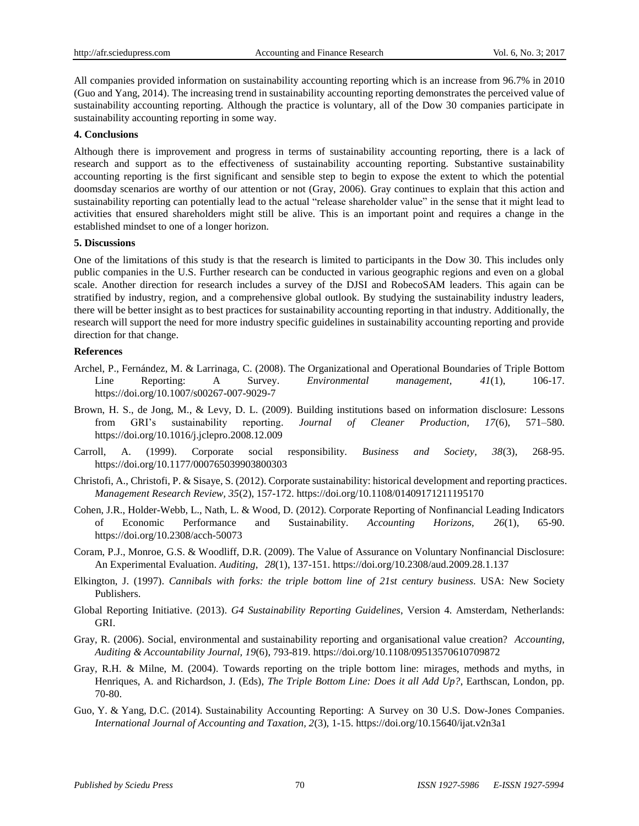All companies provided information on sustainability accounting reporting which is an increase from 96.7% in 2010 (Guo and Yang, 2014). The increasing trend in sustainability accounting reporting demonstrates the perceived value of sustainability accounting reporting. Although the practice is voluntary, all of the Dow 30 companies participate in sustainability accounting reporting in some way.

#### **4. Conclusions**

Although there is improvement and progress in terms of sustainability accounting reporting, there is a lack of research and support as to the effectiveness of sustainability accounting reporting. Substantive sustainability accounting reporting is the first significant and sensible step to begin to expose the extent to which the potential doomsday scenarios are worthy of our attention or not (Gray, 2006). Gray continues to explain that this action and sustainability reporting can potentially lead to the actual "release shareholder value" in the sense that it might lead to activities that ensured shareholders might still be alive. This is an important point and requires a change in the established mindset to one of a longer horizon.

#### **5. Discussions**

One of the limitations of this study is that the research is limited to participants in the Dow 30. This includes only public companies in the U.S. Further research can be conducted in various geographic regions and even on a global scale. Another direction for research includes a survey of the DJSI and RobecoSAM leaders. This again can be stratified by industry, region, and a comprehensive global outlook. By studying the sustainability industry leaders, there will be better insight as to best practices for sustainability accounting reporting in that industry. Additionally, the research will support the need for more industry specific guidelines in sustainability accounting reporting and provide direction for that change.

#### **References**

- Archel, P., Fernández, M. & Larrinaga, C. (2008). The Organizational and Operational Boundaries of Triple Bottom Line Reporting: A Survey. *Environmental management, 41*(1), 106-17. <https://doi.org/10.1007/s00267-007-9029-7>
- Brown, H. S., de Jong, M., & Levy, D. L. (2009). Building institutions based on information disclosure: Lessons from GRI's sustainability reporting. *Journal of Cleaner Production, 17*(6), 571–580. <https://doi.org/10.1016/j.jclepro.2008.12.009>
- Carroll, A. (1999). Corporate social responsibility. *Business and Society, 38*(3), 268-95. <https://doi.org/10.1177/000765039903800303>
- Christofi, A., Christofi, P. & Sisaye, S. (2012). Corporate sustainability: historical development and reporting practices. *Management Research Review, 35*(2), 157-172. <https://doi.org/10.1108/01409171211195170>
- Cohen, J.R., Holder-Webb, L., Nath, L. & Wood, D. (2012). Corporate Reporting of Nonfinancial Leading Indicators of Economic Performance and Sustainability. *Accounting Horizons, 26*(1), 65-90. <https://doi.org/10.2308/acch-50073>
- Coram, P.J., Monroe, G.S. & Woodliff, D.R. (2009). The Value of Assurance on Voluntary Nonfinancial Disclosure: An Experimental Evaluation. *Auditing, 28*(1), 137-151. <https://doi.org/10.2308/aud.2009.28.1.137>
- Elkington, J. (1997). *Cannibals with forks: the triple bottom line of 21st century business*. USA: New Society Publishers.
- Global Reporting Initiative. (2013). *G4 Sustainability Reporting Guidelines*, Version 4. Amsterdam, Netherlands: GRI.
- Gray, R. (2006). Social, environmental and sustainability reporting and organisational value creation? *Accounting, Auditing & Accountability Journal, 19*(6), 793-819. <https://doi.org/10.1108/09513570610709872>
- Gray, R.H. & Milne, M. (2004). Towards reporting on the triple bottom line: mirages, methods and myths, in Henriques, A. and Richardson, J. (Eds), *The Triple Bottom Line: Does it all Add Up?*, Earthscan, London, pp. 70-80.
- Guo, Y. & Yang, D.C. (2014). Sustainability Accounting Reporting: A Survey on 30 U.S. Dow-Jones Companies. *International Journal of Accounting and Taxation, 2*(3), 1-15. <https://doi.org/10.15640/ijat.v2n3a1>